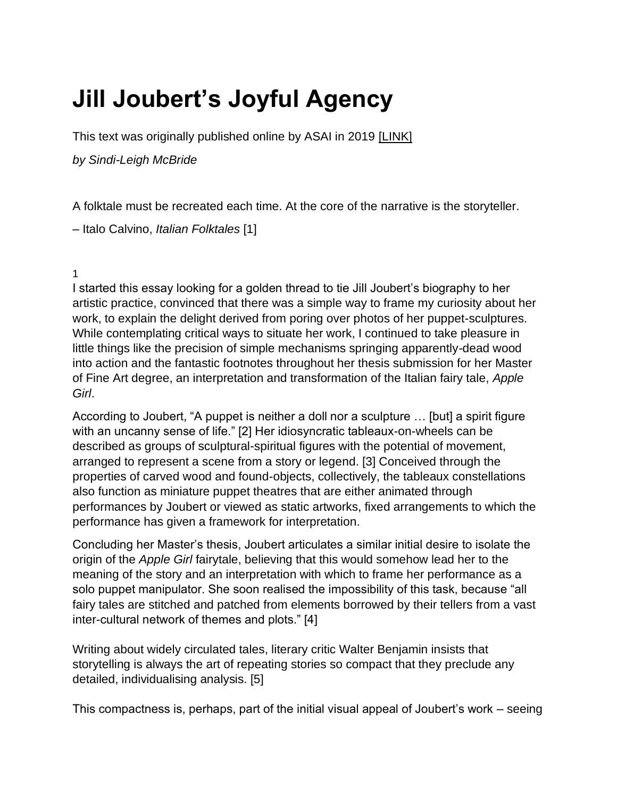## **Jill Joubert's Joyful Agency**

This text was originally published online by ASAI in 2019 [\[LINK\]](https://asai.co.za/jill-jouberts-joyful-agency/)

*by Sindi-Leigh McBride*

A folktale must be recreated each time. At the core of the narrative is the storyteller.

– Italo Calvino, *Italian Folktales* [1]

1

I started this essay looking for a golden thread to tie Jill Joubert's biography to her artistic practice, convinced that there was a simple way to frame my curiosity about her work, to explain the delight derived from poring over photos of her puppet-sculptures. While contemplating critical ways to situate her work, I continued to take pleasure in little things like the precision of simple mechanisms springing apparently-dead wood into action and the fantastic footnotes throughout her thesis submission for her Master of Fine Art degree, an interpretation and transformation of the Italian fairy tale, *Apple Girl*.

According to Joubert, "A puppet is neither a doll nor a sculpture … [but] a spirit figure with an uncanny sense of life." [2] Her idiosyncratic tableaux-on-wheels can be described as groups of sculptural-spiritual figures with the potential of movement, arranged to represent a scene from a story or legend. [3] Conceived through the properties of carved wood and found-objects, collectively, the tableaux constellations also function as miniature puppet theatres that are either animated through performances by Joubert or viewed as static artworks, fixed arrangements to which the performance has given a framework for interpretation.

Concluding her Master's thesis, Joubert articulates a similar initial desire to isolate the origin of the *Apple Girl* fairytale, believing that this would somehow lead her to the meaning of the story and an interpretation with which to frame her performance as a solo puppet manipulator. She soon realised the impossibility of this task, because "all fairy tales are stitched and patched from elements borrowed by their tellers from a vast inter-cultural network of themes and plots." [4]

Writing about widely circulated tales, literary critic Walter Benjamin insists that storytelling is always the art of repeating stories so compact that they preclude any detailed, individualising analysis. [5]

This compactness is, perhaps, part of the initial visual appeal of Joubert's work – seeing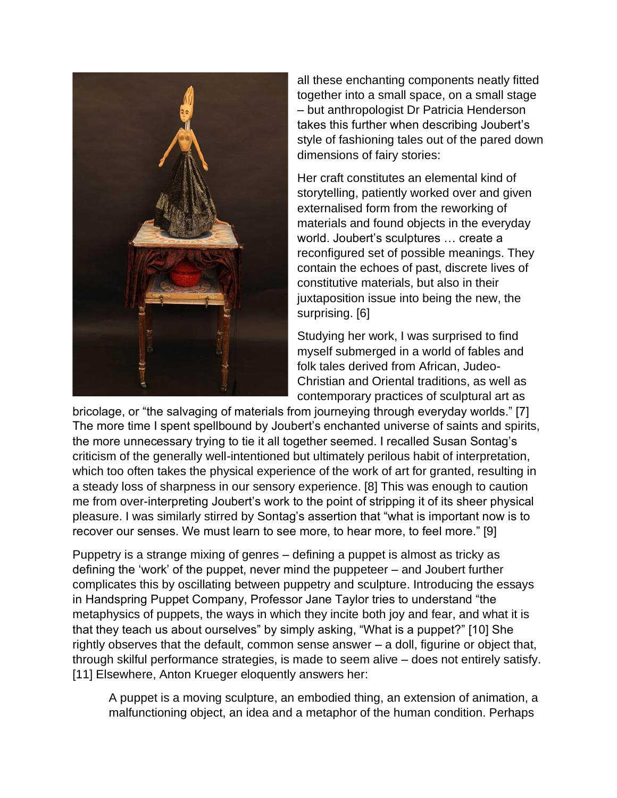

all these enchanting components neatly fitted together into a small space, on a small stage – but anthropologist Dr Patricia Henderson takes this further when describing Joubert's style of fashioning tales out of the pared down dimensions of fairy stories:

Her craft constitutes an elemental kind of storytelling, patiently worked over and given externalised form from the reworking of materials and found objects in the everyday world. Joubert's sculptures … create a reconfigured set of possible meanings. They contain the echoes of past, discrete lives of constitutive materials, but also in their juxtaposition issue into being the new, the surprising. [6]

Studying her work, I was surprised to find myself submerged in a world of fables and folk tales derived from African, Judeo-Christian and Oriental traditions, as well as contemporary practices of sculptural art as

bricolage, or "the salvaging of materials from journeying through everyday worlds." [7] The more time I spent spellbound by Joubert's enchanted universe of saints and spirits, the more unnecessary trying to tie it all together seemed. I recalled Susan Sontag's criticism of the generally well-intentioned but ultimately perilous habit of interpretation, which too often takes the physical experience of the work of art for granted, resulting in a steady loss of sharpness in our sensory experience. [8] This was enough to caution me from over-interpreting Joubert's work to the point of stripping it of its sheer physical pleasure. I was similarly stirred by Sontag's assertion that "what is important now is to recover our senses. We must learn to see more, to hear more, to feel more." [9]

Puppetry is a strange mixing of genres – defining a puppet is almost as tricky as defining the 'work' of the puppet, never mind the puppeteer – and Joubert further complicates this by oscillating between puppetry and sculpture. Introducing the essays in Handspring Puppet Company, Professor Jane Taylor tries to understand "the metaphysics of puppets, the ways in which they incite both joy and fear, and what it is that they teach us about ourselves" by simply asking, "What is a puppet?" [10] She rightly observes that the default, common sense answer – a doll, figurine or object that, through skilful performance strategies, is made to seem alive – does not entirely satisfy. [11] Elsewhere, Anton Krueger eloquently answers her:

A puppet is a moving sculpture, an embodied thing, an extension of animation, a malfunctioning object, an idea and a metaphor of the human condition. Perhaps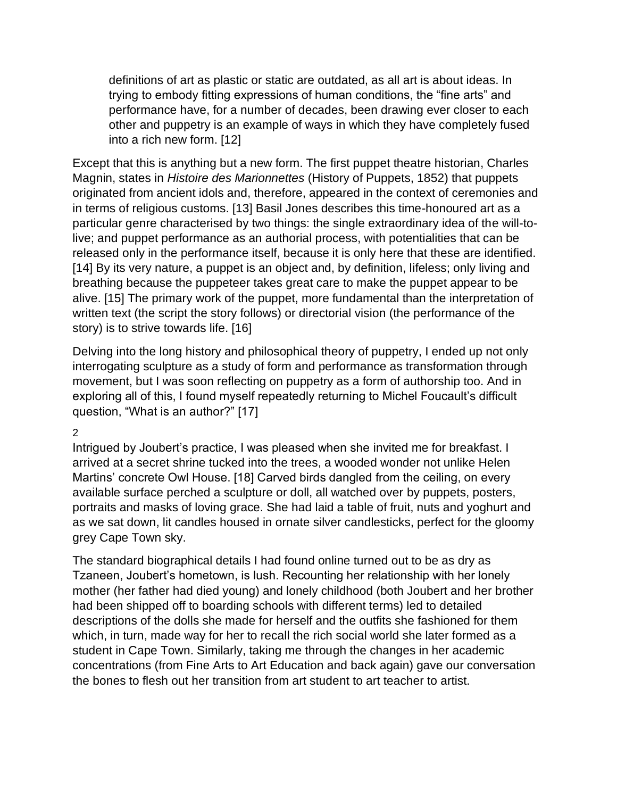definitions of art as plastic or static are outdated, as all art is about ideas. In trying to embody fitting expressions of human conditions, the "fine arts" and performance have, for a number of decades, been drawing ever closer to each other and puppetry is an example of ways in which they have completely fused into a rich new form. [12]

Except that this is anything but a new form. The first puppet theatre historian, Charles Magnin, states in *Histoire des Marionnettes* (History of Puppets, 1852) that puppets originated from ancient idols and, therefore, appeared in the context of ceremonies and in terms of religious customs. [13] Basil Jones describes this time-honoured art as a particular genre characterised by two things: the single extraordinary idea of the will-tolive; and puppet performance as an authorial process, with potentialities that can be released only in the performance itself, because it is only here that these are identified. [14] By its very nature, a puppet is an object and, by definition, lifeless; only living and breathing because the puppeteer takes great care to make the puppet appear to be alive. [15] The primary work of the puppet, more fundamental than the interpretation of written text (the script the story follows) or directorial vision (the performance of the story) is to strive towards life. [16]

Delving into the long history and philosophical theory of puppetry, I ended up not only interrogating sculpture as a study of form and performance as transformation through movement, but I was soon reflecting on puppetry as a form of authorship too. And in exploring all of this, I found myself repeatedly returning to Michel Foucault's difficult question, "What is an author?" [17]

2

Intrigued by Joubert's practice, I was pleased when she invited me for breakfast. I arrived at a secret shrine tucked into the trees, a wooded wonder not unlike Helen Martins' concrete Owl House. [18] Carved birds dangled from the ceiling, on every available surface perched a sculpture or doll, all watched over by puppets, posters, portraits and masks of loving grace. She had laid a table of fruit, nuts and yoghurt and as we sat down, lit candles housed in ornate silver candlesticks, perfect for the gloomy grey Cape Town sky.

The standard biographical details I had found online turned out to be as dry as Tzaneen, Joubert's hometown, is lush. Recounting her relationship with her lonely mother (her father had died young) and lonely childhood (both Joubert and her brother had been shipped off to boarding schools with different terms) led to detailed descriptions of the dolls she made for herself and the outfits she fashioned for them which, in turn, made way for her to recall the rich social world she later formed as a student in Cape Town. Similarly, taking me through the changes in her academic concentrations (from Fine Arts to Art Education and back again) gave our conversation the bones to flesh out her transition from art student to art teacher to artist.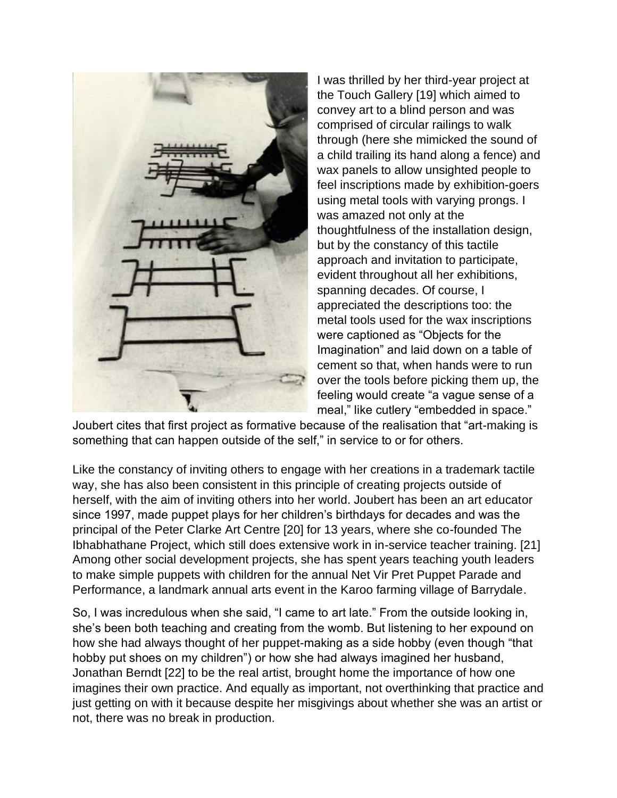

I was thrilled by her third-year project at the Touch Gallery [19] which aimed to convey art to a blind person and was comprised of circular railings to walk through (here she mimicked the sound of a child trailing its hand along a fence) and wax panels to allow unsighted people to feel inscriptions made by exhibition-goers using metal tools with varying prongs. I was amazed not only at the thoughtfulness of the installation design, but by the constancy of this tactile approach and invitation to participate, evident throughout all her exhibitions, spanning decades. Of course, I appreciated the descriptions too: the metal tools used for the wax inscriptions were captioned as "Objects for the Imagination" and laid down on a table of cement so that, when hands were to run over the tools before picking them up, the feeling would create "a vague sense of a meal," like cutlery "embedded in space."

Joubert cites that first project as formative because of the realisation that "art-making is something that can happen outside of the self," in service to or for others.

Like the constancy of inviting others to engage with her creations in a trademark tactile way, she has also been consistent in this principle of creating projects outside of herself, with the aim of inviting others into her world. Joubert has been an art educator since 1997, made puppet plays for her children's birthdays for decades and was the principal of the Peter Clarke Art Centre [20] for 13 years, where she co-founded The Ibhabhathane Project, which still does extensive work in in-service teacher training. [21] Among other social development projects, she has spent years teaching youth leaders to make simple puppets with children for the annual Net Vir Pret Puppet Parade and Performance, a landmark annual arts event in the Karoo farming village of Barrydale.

So, I was incredulous when she said, "I came to art late." From the outside looking in, she's been both teaching and creating from the womb. But listening to her expound on how she had always thought of her puppet-making as a side hobby (even though "that hobby put shoes on my children") or how she had always imagined her husband, Jonathan Berndt [22] to be the real artist, brought home the importance of how one imagines their own practice. And equally as important, not overthinking that practice and just getting on with it because despite her misgivings about whether she was an artist or not, there was no break in production.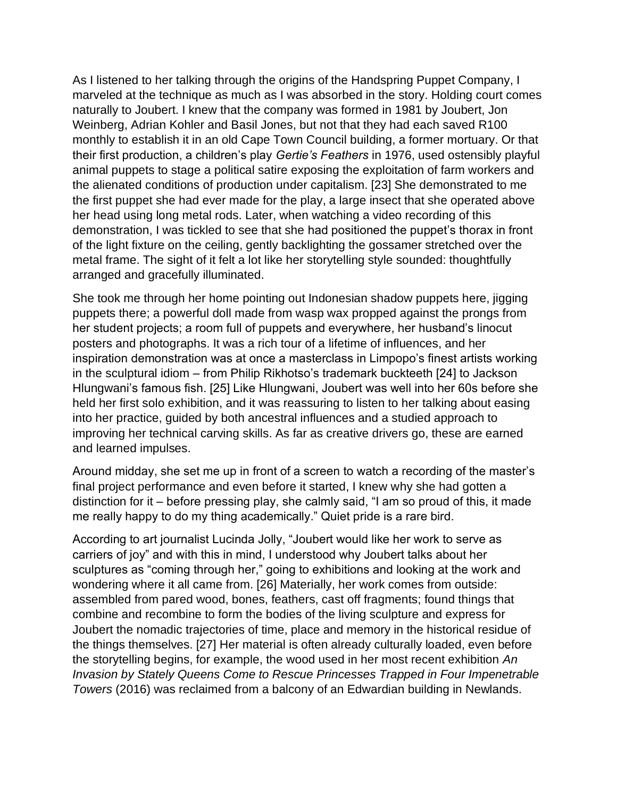As I listened to her talking through the origins of the Handspring Puppet Company, I marveled at the technique as much as I was absorbed in the story. Holding court comes naturally to Joubert. I knew that the company was formed in 1981 by Joubert, Jon Weinberg, Adrian Kohler and Basil Jones, but not that they had each saved R100 monthly to establish it in an old Cape Town Council building, a former mortuary. Or that their first production, a children's play *Gertie's Feathers* in 1976, used ostensibly playful animal puppets to stage a political satire exposing the exploitation of farm workers and the alienated conditions of production under capitalism. [23] She demonstrated to me the first puppet she had ever made for the play, a large insect that she operated above her head using long metal rods. Later, when watching a video recording of this demonstration, I was tickled to see that she had positioned the puppet's thorax in front of the light fixture on the ceiling, gently backlighting the gossamer stretched over the metal frame. The sight of it felt a lot like her storytelling style sounded: thoughtfully arranged and gracefully illuminated.

She took me through her home pointing out Indonesian shadow puppets here, jigging puppets there; a powerful doll made from wasp wax propped against the prongs from her student projects; a room full of puppets and everywhere, her husband's linocut posters and photographs. It was a rich tour of a lifetime of influences, and her inspiration demonstration was at once a masterclass in Limpopo's finest artists working in the sculptural idiom – from Philip Rikhotso's trademark buckteeth [24] to Jackson Hlungwani's famous fish. [25] Like Hlungwani, Joubert was well into her 60s before she held her first solo exhibition, and it was reassuring to listen to her talking about easing into her practice, guided by both ancestral influences and a studied approach to improving her technical carving skills. As far as creative drivers go, these are earned and learned impulses.

Around midday, she set me up in front of a screen to watch a recording of the master's final project performance and even before it started, I knew why she had gotten a distinction for it – before pressing play, she calmly said, "I am so proud of this, it made me really happy to do my thing academically." Quiet pride is a rare bird.

According to art journalist Lucinda Jolly, "Joubert would like her work to serve as carriers of joy" and with this in mind, I understood why Joubert talks about her sculptures as "coming through her," going to exhibitions and looking at the work and wondering where it all came from. [26] Materially, her work comes from outside: assembled from pared wood, bones, feathers, cast off fragments; found things that combine and recombine to form the bodies of the living sculpture and express for Joubert the nomadic trajectories of time, place and memory in the historical residue of the things themselves. [27] Her material is often already culturally loaded, even before the storytelling begins, for example, the wood used in her most recent exhibition *An Invasion by Stately Queens Come to Rescue Princesses Trapped in Four Impenetrable Towers* (2016) was reclaimed from a balcony of an Edwardian building in Newlands.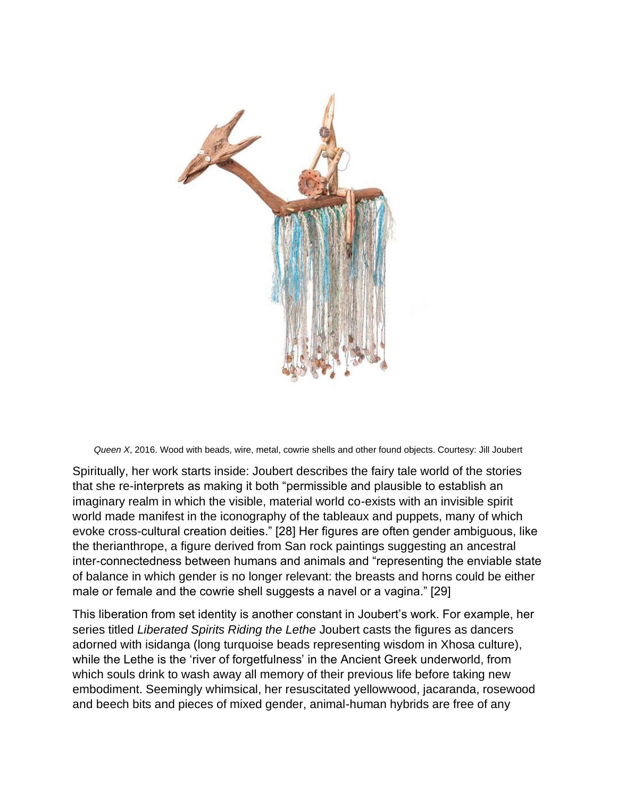

*Queen X*, 2016. Wood with beads, wire, metal, cowrie shells and other found objects. Courtesy: Jill Joubert

Spiritually, her work starts inside: Joubert describes the fairy tale world of the stories that she re-interprets as making it both "permissible and plausible to establish an imaginary realm in which the visible, material world co-exists with an invisible spirit world made manifest in the iconography of the tableaux and puppets, many of which evoke cross-cultural creation deities." [28] Her figures are often gender ambiguous, like the therianthrope, a figure derived from San rock paintings suggesting an ancestral inter-connectedness between humans and animals and "representing the enviable state of balance in which gender is no longer relevant: the breasts and horns could be either male or female and the cowrie shell suggests a navel or a vagina." [29]

This liberation from set identity is another constant in Joubert's work. For example, her series titled *Liberated Spirits Riding the Lethe* Joubert casts the figures as dancers adorned with isidanga (long turquoise beads representing wisdom in Xhosa culture), while the Lethe is the 'river of forgetfulness' in the Ancient Greek underworld, from which souls drink to wash away all memory of their previous life before taking new embodiment. Seemingly whimsical, her resuscitated yellowwood, jacaranda, rosewood and beech bits and pieces of mixed gender, animal-human hybrids are free of any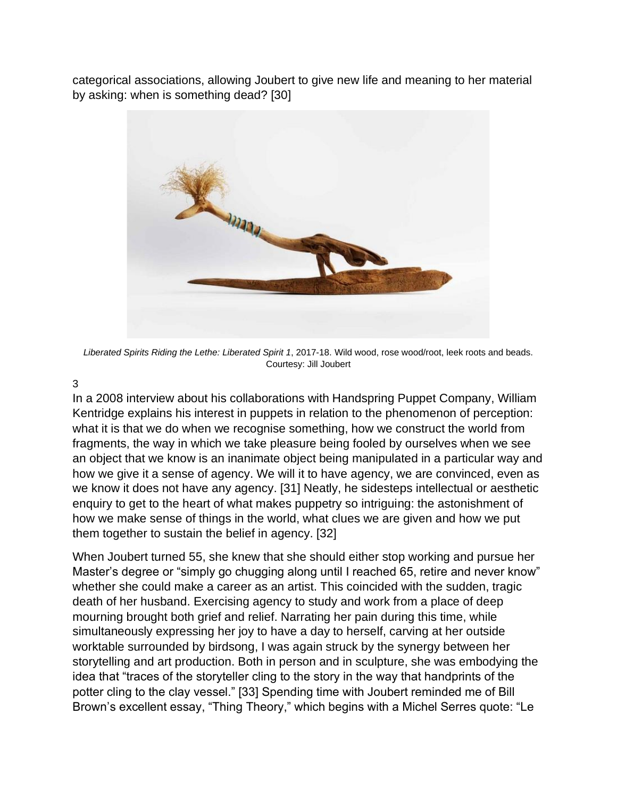categorical associations, allowing Joubert to give new life and meaning to her material by asking: when is something dead? [30]



*Liberated Spirits Riding the Lethe: Liberated Spirit 1*, 2017-18. Wild wood, rose wood/root, leek roots and beads. Courtesy: Jill Joubert

## 3

In a 2008 interview about his collaborations with Handspring Puppet Company, William Kentridge explains his interest in puppets in relation to the phenomenon of perception: what it is that we do when we recognise something, how we construct the world from fragments, the way in which we take pleasure being fooled by ourselves when we see an object that we know is an inanimate object being manipulated in a particular way and how we give it a sense of agency. We will it to have agency, we are convinced, even as we know it does not have any agency. [31] Neatly, he sidesteps intellectual or aesthetic enquiry to get to the heart of what makes puppetry so intriguing: the astonishment of how we make sense of things in the world, what clues we are given and how we put them together to sustain the belief in agency. [32]

When Joubert turned 55, she knew that she should either stop working and pursue her Master's degree or "simply go chugging along until I reached 65, retire and never know" whether she could make a career as an artist. This coincided with the sudden, tragic death of her husband. Exercising agency to study and work from a place of deep mourning brought both grief and relief. Narrating her pain during this time, while simultaneously expressing her joy to have a day to herself, carving at her outside worktable surrounded by birdsong, I was again struck by the synergy between her storytelling and art production. Both in person and in sculpture, she was embodying the idea that "traces of the storyteller cling to the story in the way that handprints of the potter cling to the clay vessel." [33] Spending time with Joubert reminded me of Bill Brown's excellent essay, "Thing Theory," which begins with a Michel Serres quote: "Le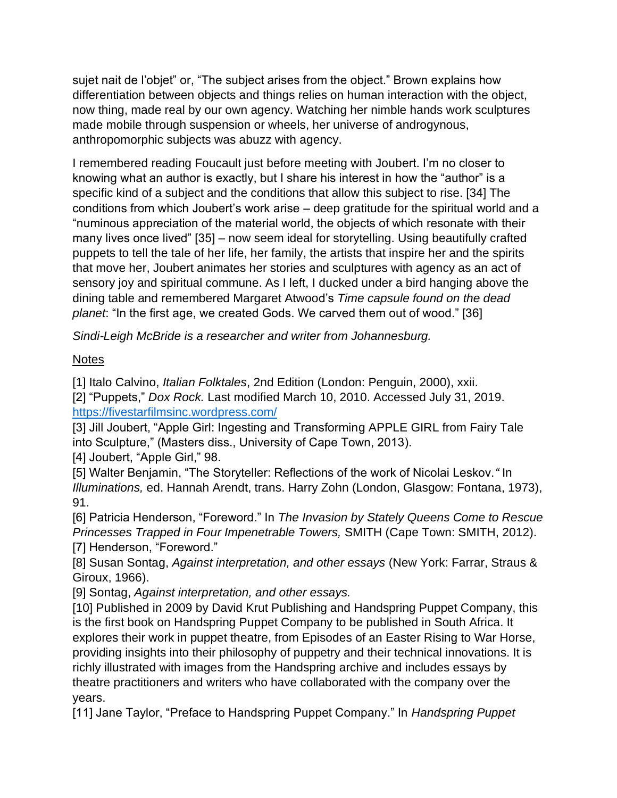sujet nait de l'objet" or, "The subject arises from the object." Brown explains how differentiation between objects and things relies on human interaction with the object, now thing, made real by our own agency. Watching her nimble hands work sculptures made mobile through suspension or wheels, her universe of androgynous, anthropomorphic subjects was abuzz with agency.

I remembered reading Foucault just before meeting with Joubert. I'm no closer to knowing what an author is exactly, but I share his interest in how the "author" is a specific kind of a subject and the conditions that allow this subject to rise. [34] The conditions from which Joubert's work arise – deep gratitude for the spiritual world and a "numinous appreciation of the material world, the objects of which resonate with their many lives once lived" [35] – now seem ideal for storytelling. Using beautifully crafted puppets to tell the tale of her life, her family, the artists that inspire her and the spirits that move her, Joubert animates her stories and sculptures with agency as an act of sensory joy and spiritual commune. As I left, I ducked under a bird hanging above the dining table and remembered Margaret Atwood's *Time capsule found on the dead planet*: "In the first age, we created Gods. We carved them out of wood." [36]

*Sindi-Leigh McBride is a researcher and writer from Johannesburg.*

## **Notes**

[1] Italo Calvino, *Italian Folktales*, 2nd Edition (London: Penguin, 2000), xxii. [2] "Puppets," *Dox Rock.* Last modified March 10, 2010. Accessed July 31, 2019.

<https://fivestarfilmsinc.wordpress.com/>

[3] Jill Joubert, "Apple Girl: Ingesting and Transforming APPLE GIRL from Fairy Tale into Sculpture," (Masters diss., University of Cape Town, 2013).

[4] Joubert, "Apple Girl," 98.

[5] Walter Benjamin, "The Storyteller: Reflections of the work of Nicolai Leskov.*"* In *Illuminations,* ed. Hannah Arendt, trans. Harry Zohn (London, Glasgow: Fontana, 1973), 91.

[6] Patricia Henderson, "Foreword." In *The Invasion by Stately Queens Come to Rescue Princesses Trapped in Four Impenetrable Towers,* SMITH (Cape Town: SMITH, 2012). [7] Henderson, "Foreword."

[8] Susan Sontag, *Against interpretation, and other essays* (New York: Farrar, Straus & Giroux, 1966).

[9] Sontag, *Against interpretation, and other essays.*

[10] Published in 2009 by David Krut Publishing and Handspring Puppet Company, this is the first book on Handspring Puppet Company to be published in South Africa. It explores their work in puppet theatre, from Episodes of an Easter Rising to War Horse, providing insights into their philosophy of puppetry and their technical innovations. It is richly illustrated with images from the Handspring archive and includes essays by theatre practitioners and writers who have collaborated with the company over the years.

[11] Jane Taylor, "Preface to Handspring Puppet Company." In *Handspring Puppet*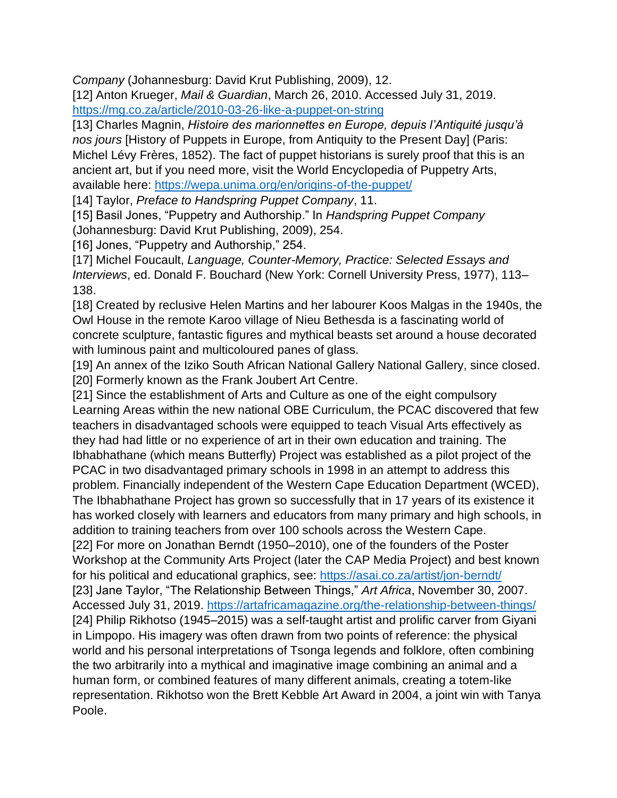*Company* (Johannesburg: David Krut Publishing, 2009), 12.

[12] Anton Krueger, *Mail & Guardian*, March 26, 2010. Accessed July 31, 2019. <https://mg.co.za/article/2010-03-26-like-a-puppet-on-string>

[13] Charles Magnin, *Histoire des marionnettes en Europe, depuis l'Antiquité jusqu'à nos jours* [History of Puppets in Europe, from Antiquity to the Present Day] (Paris: Michel Lévy Frères, 1852). The fact of puppet historians is surely proof that this is an ancient art, but if you need more, visit the World Encyclopedia of Puppetry Arts, available here:<https://wepa.unima.org/en/origins-of-the-puppet/>

[14] Taylor, *Preface to Handspring Puppet Company*, 11.

[15] Basil Jones, "Puppetry and Authorship." In *Handspring Puppet Company* (Johannesburg: David Krut Publishing, 2009), 254.

[16] Jones, "Puppetry and Authorship," 254.

[17] Michel Foucault, *Language, Counter-Memory, Practice: Selected Essays and Interviews*, ed. Donald F. Bouchard (New York: Cornell University Press, 1977), 113– 138.

[18] Created by reclusive Helen Martins and her labourer Koos Malgas in the 1940s, the Owl House in the remote Karoo village of Nieu Bethesda is a fascinating world of concrete sculpture, fantastic figures and mythical beasts set around a house decorated with luminous paint and multicoloured panes of glass.

[19] An annex of the Iziko South African National Gallery National Gallery, since closed. [20] Formerly known as the Frank Joubert Art Centre.

[21] Since the establishment of Arts and Culture as one of the eight compulsory Learning Areas within the new national OBE Curriculum, the PCAC discovered that few teachers in disadvantaged schools were equipped to teach Visual Arts effectively as they had had little or no experience of art in their own education and training. The Ibhabhathane (which means Butterfly) Project was established as a pilot project of the PCAC in two disadvantaged primary schools in 1998 in an attempt to address this problem. Financially independent of the Western Cape Education Department (WCED), The Ibhabhathane Project has grown so successfully that in 17 years of its existence it has worked closely with learners and educators from many primary and high schools, in addition to training teachers from over 100 schools across the Western Cape. [22] For more on Jonathan Berndt (1950–2010), one of the founders of the Poster Workshop at the Community Arts Project (later the CAP Media Project) and best known for his political and educational graphics, see:<https://asai.co.za/artist/jon-berndt/> [23] Jane Taylor, "The Relationship Between Things," *Art Africa*, November 30, 2007. Accessed July 31, 2019.<https://artafricamagazine.org/the-relationship-between-things/> [24] Philip Rikhotso (1945–2015) was a self-taught artist and prolific carver from Giyani in Limpopo. His imagery was often drawn from two points of reference: the physical world and his personal interpretations of Tsonga legends and folklore, often combining the two arbitrarily into a mythical and imaginative image combining an animal and a human form, or combined features of many different animals, creating a totem-like representation. Rikhotso won the Brett Kebble Art Award in 2004, a joint win with Tanya Poole.